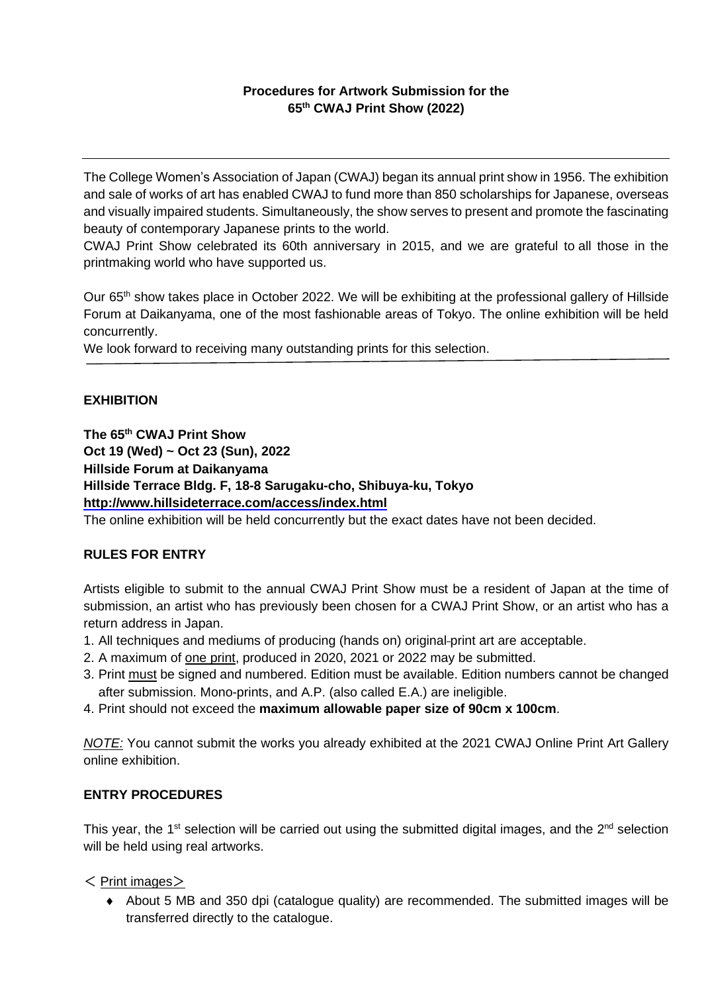# **Procedures for Artwork Submission for the 65 th CWAJ Print Show (2022)**

The College Women's Association of Japan (CWAJ) began its annual print show in 1956. The exhibition and sale of works of art has enabled CWAJ to fund more than 850 scholarships for Japanese, overseas and visually impaired students. Simultaneously, the show serves to present and promote the fascinating beauty of contemporary Japanese prints to the world.

CWAJ Print Show celebrated its 60th anniversary in 2015, and we are grateful to all those in the printmaking world who have supported us.

Our 65<sup>th</sup> show takes place in October 2022. We will be exhibiting at the professional gallery of Hillside Forum at Daikanyama, one of the most fashionable areas of Tokyo. The online exhibition will be held concurrently.

We look forward to receiving many outstanding prints for this selection.

## **EXHIBITION**

**The 65 th CWAJ Print Show**

**Oct 19 (Wed) ~ Oct 23 (Sun), 2022 Hillside Forum at Daikanyama Hillside Terrace Bldg. F, 18-8 Sarugaku-cho, Shibuya-ku, Tokyo <http://www.hillsideterrace.com/access/index.html>**

The online exhibition will be held concurrently but the exact dates have not been decided.

# **RULES FOR ENTRY**

Artists eligible to submit to the annual CWAJ Print Show must be a resident of Japan at the time of submission, an artist who has previously been chosen for a CWAJ Print Show, or an artist who has a return address in Japan.

- 1. All techniques and mediums of producing (hands on) original print art are acceptable.
- 2. A maximum of one print, produced in 2020, 2021 or 2022 may be submitted.
- 3. Print must be signed and numbered. Edition must be available. Edition numbers cannot be changed after submission. Mono-prints, and A.P. (also called E.A.) are ineligible.
- 4. Print should not exceed the **maximum allowable paper size of 90cm x 100cm**.

*NOTE:* You cannot submit the works you already exhibited at the 2021 CWAJ Online Print Art Gallery online exhibition.

### **ENTRY PROCEDURES**

This year, the 1<sup>st</sup> selection will be carried out using the submitted digital images, and the 2<sup>nd</sup> selection will be held using real artworks.

### $\leq$  Print images $>$

 About 5 MB and 350 dpi (catalogue quality) are recommended. The submitted images will be transferred directly to the catalogue.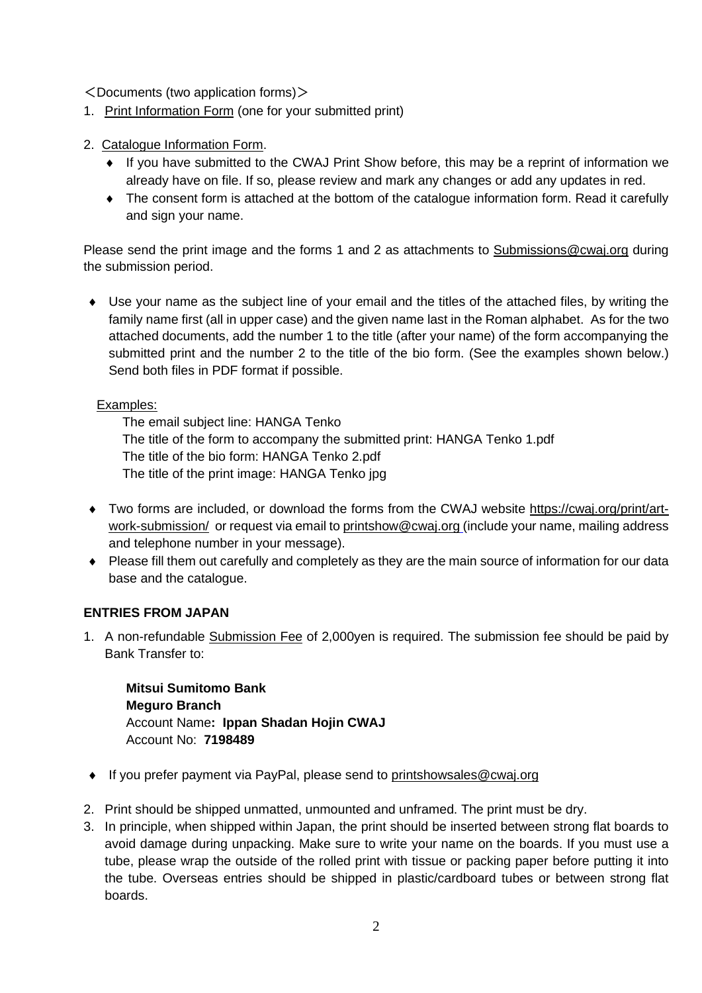$\leq$ Documents (two application forms) $>$ 

- 1. Print Information Form (one for your submitted print)
- 2. Catalogue Information Form.
	- If you have submitted to the CWAJ Print Show before, this may be a reprint of information we already have on file. If so, please review and mark any changes or add any updates in red.
	- The consent form is attached at the bottom of the catalogue information form. Read it carefully and sign your name.

Please send the print image and the forms 1 and 2 as attachments to [Submissions@cwaj.org](mailto:Submissions@cwaj.org) during the submission period.

 Use your name as the subject line of your email and the titles of the attached files, by writing the family name first (all in upper case) and the given name last in the Roman alphabet. As for the two attached documents, add the number 1 to the title (after your name) of the form accompanying the submitted print and the number 2 to the title of the bio form. (See the examples shown below.) Send both files in PDF format if possible.

# Examples:

The email subject line: HANGA Tenko The title of the form to accompany the submitted print: HANGA Tenko 1.pdf The title of the bio form: HANGA Tenko 2.pdf The title of the print image: HANGA Tenko jpg

- Two forms are included, or download the forms from the CWAJ website [https://cwaj.org/print/art](https://cwaj.org/print/artwork-submission/)[work-submission/](https://cwaj.org/print/artwork-submission/) or request via email to [printshow@cwaj.org](mailto:printshow@cwaj.org) (include your name, mailing address and telephone number in your message).
- Please fill them out carefully and completely as they are the main source of information for our data base and the catalogue.

# **ENTRIES FROM JAPAN**

1. A non-refundable Submission Fee of 2,000yen is required. The submission fee should be paid by Bank Transfer to:

**Mitsui Sumitomo Bank Meguro Branch** Account Name**: Ippan Shadan Hojin CWAJ** Account No: **7198489** 

- ◆ If you prefer payment via PayPal, please send to [printshowsales@cwaj.org](mailto:printshowsales@cwaj.org)
- 2. Print should be shipped unmatted, unmounted and unframed. The print must be dry.
- 3. In principle, when shipped within Japan, the print should be inserted between strong flat boards to avoid damage during unpacking. Make sure to write your name on the boards. If you must use a tube, please wrap the outside of the rolled print with tissue or packing paper before putting it into the tube. Overseas entries should be shipped in plastic/cardboard tubes or between strong flat boards.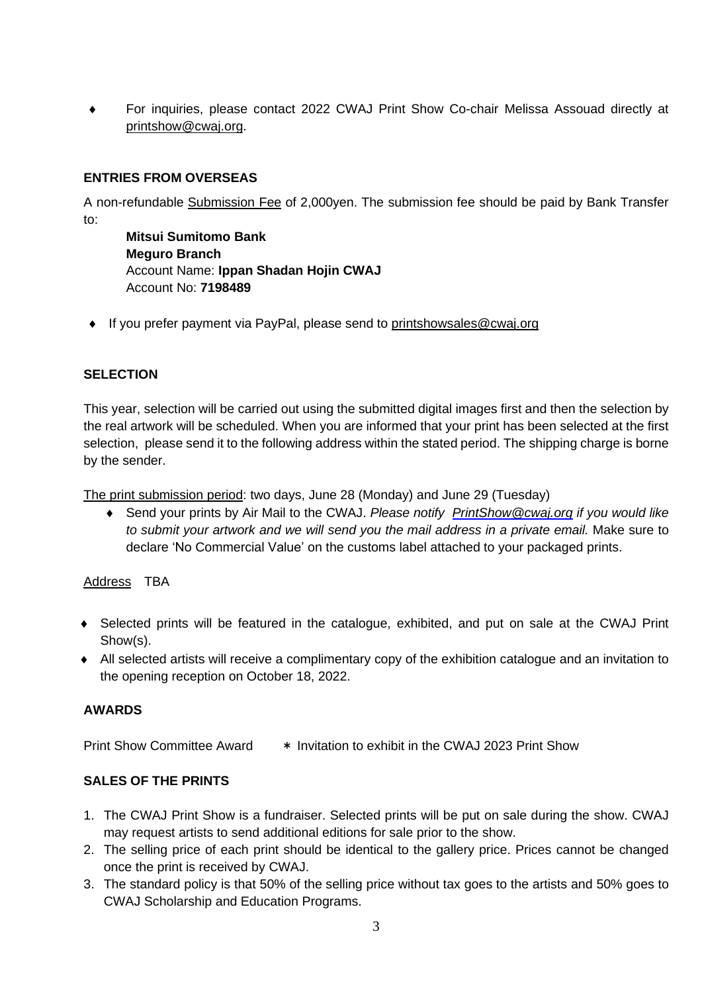For inquiries, please contact 2022 CWAJ Print Show Co-chair Melissa Assouad directly at [printshow@cwaj.org.](mailto:printshow@cwaj.org)

# **ENTRIES FROM OVERSEAS**

A non-refundable Submission Fee of 2,000yen. The submission fee should be paid by Bank Transfer to:

**Mitsui Sumitomo Bank Meguro Branch** Account Name: **Ippan Shadan Hojin CWAJ** Account No: **7198489**

◆ If you prefer payment via PayPal, please send to [printshowsales@cwaj.org](mailto:printshowsales@cwaj.org)

## **SELECTION**

This year, selection will be carried out using the submitted digital images first and then the selection by the real artwork will be scheduled. When you are informed that your print has been selected at the first selection, please send it to the following address within the stated period. The shipping charge is borne by the sender.

The print submission period: two days, June 28 (Monday) and June 29 (Tuesday)

 Send your prints by Air Mail to the CWAJ. *Please notify [PrintShow@cwaj.org](mailto:PrintShow@cwaj.org) if you would like to submit your artwork and we will send you the mail address in a private email.* Make sure to declare 'No Commercial Value' on the customs label attached to your packaged prints.

### Address TBA

- Selected prints will be featured in the catalogue, exhibited, and put on sale at the CWAJ Print Show(s).
- All selected artists will receive a complimentary copy of the exhibition catalogue and an invitation to the opening reception on October 18, 2022.

# **AWARDS**

Print Show Committee Award \* Invitation to exhibit in the CWAJ 2023 Print Show

# **SALES OF THE PRINTS**

- 1. The CWAJ Print Show is a fundraiser. Selected prints will be put on sale during the show. CWAJ may request artists to send additional editions for sale prior to the show.
- 2. The selling price of each print should be identical to the gallery price. Prices cannot be changed once the print is received by CWAJ.
- 3. The standard policy is that 50% of the selling price without tax goes to the artists and 50% goes to CWAJ Scholarship and Education Programs.